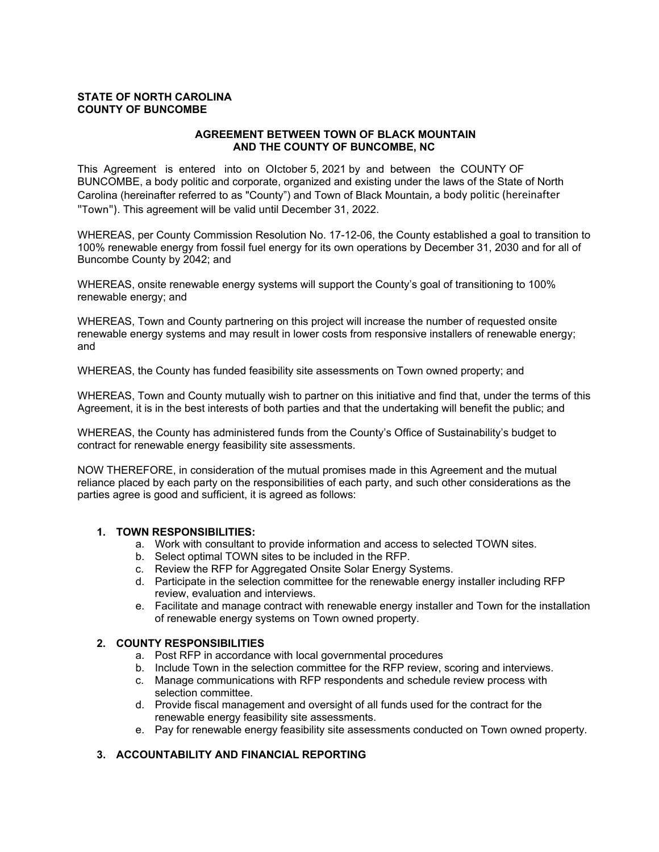#### **STATE OF NORTH CAROLINA COUNTY OF BUNCOMBE**

### **AGREEMENT BETWEEN TOWN OF BLACK MOUNTAIN AND THE COUNTY OF BUNCOMBE, NC**

This Agreement is entered into on OIctober 5, 2021 by and between the COUNTY OF BUNCOMBE, a body politic and corporate, organized and existing under the laws of the State of North Carolina (hereinafter referred to as "County") and Town of Black Mountain, a body politic (hereinafter "Town"). This agreement will be valid until December 31, 2022.

WHEREAS, per County Commission Resolution No. 17-12-06, the County established a goal to transition to 100% renewable energy from fossil fuel energy for its own operations by December 31, 2030 and for all of Buncombe County by 2042; and

WHEREAS, onsite renewable energy systems will support the County's goal of transitioning to 100% renewable energy; and

WHEREAS, Town and County partnering on this project will increase the number of requested onsite renewable energy systems and may result in lower costs from responsive installers of renewable energy; and

WHEREAS, the County has funded feasibility site assessments on Town owned property; and

WHEREAS, Town and County mutually wish to partner on this initiative and find that, under the terms of this Agreement, it is in the best interests of both parties and that the undertaking will benefit the public; and

WHEREAS, the County has administered funds from the County's Office of Sustainability's budget to contract for renewable energy feasibility site assessments.

NOW THEREFORE, in consideration of the mutual promises made in this Agreement and the mutual reliance placed by each party on the responsibilities of each party, and such other considerations as the parties agree is good and sufficient, it is agreed as follows:

### **1. TOWN RESPONSIBILITIES:**

- a. Work with consultant to provide information and access to selected TOWN sites.
- b. Select optimal TOWN sites to be included in the RFP.
- c. Review the RFP for Aggregated Onsite Solar Energy Systems.
- d. Participate in the selection committee for the renewable energy installer including RFP review, evaluation and interviews.
- e. Facilitate and manage contract with renewable energy installer and Town for the installation of renewable energy systems on Town owned property.

#### **2. COUNTY RESPONSIBILITIES**

- a. Post RFP in accordance with local governmental procedures
- b. Include Town in the selection committee for the RFP review, scoring and interviews.
- c. Manage communications with RFP respondents and schedule review process with selection committee.
- d. Provide fiscal management and oversight of all funds used for the contract for the renewable energy feasibility site assessments.
- e. Pay for renewable energy feasibility site assessments conducted on Town owned property.

### **3. ACCOUNTABILITY AND FINANCIAL REPORTING**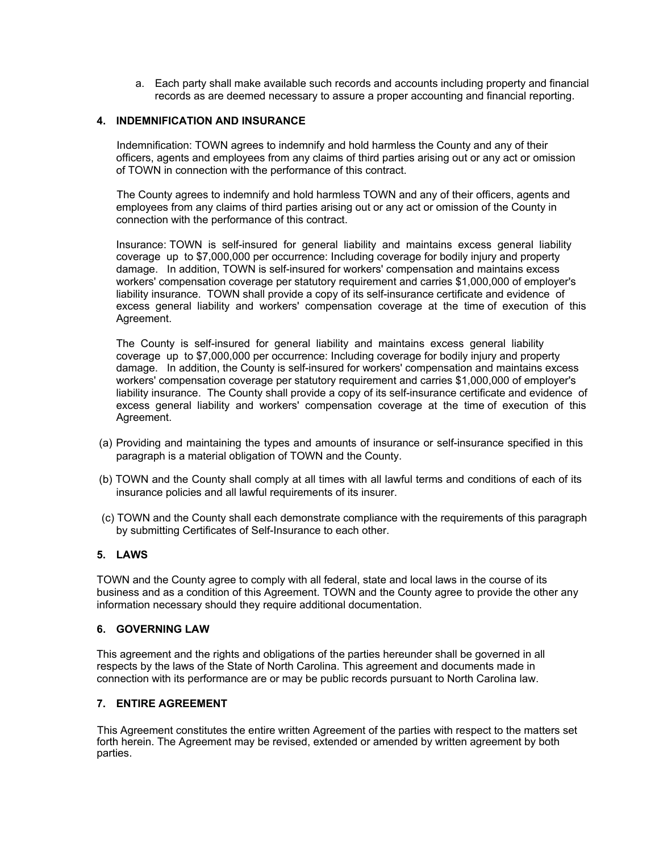a. Each party shall make available such records and accounts including property and financial records as are deemed necessary to assure a proper accounting and financial reporting.

### **4. INDEMNIFICATION AND INSURANCE**

Indemnification: TOWN agrees to indemnify and hold harmless the County and any of their officers, agents and employees from any claims of third parties arising out or any act or omission of TOWN in connection with the performance of this contract.

The County agrees to indemnify and hold harmless TOWN and any of their officers, agents and employees from any claims of third parties arising out or any act or omission of the County in connection with the performance of this contract.

Insurance: TOWN is self-insured for general liability and maintains excess general liability coverage up to \$7,000,000 per occurrence: Including coverage for bodily injury and property damage. In addition, TOWN is self-insured for workers' compensation and maintains excess workers' compensation coverage per statutory requirement and carries \$1,000,000 of employer's liability insurance. TOWN shall provide a copy of its self-insurance certificate and evidence of excess general liability and workers' compensation coverage at the time of execution of this Agreement.

The County is self-insured for general liability and maintains excess general liability coverage up to \$7,000,000 per occurrence: Including coverage for bodily injury and property damage. In addition, the County is self-insured for workers' compensation and maintains excess workers' compensation coverage per statutory requirement and carries \$1,000,000 of employer's liability insurance. The County shall provide a copy of its self-insurance certificate and evidence of excess general liability and workers' compensation coverage at the time of execution of this Agreement.

- (a) Providing and maintaining the types and amounts of insurance or self-insurance specified in this paragraph is a material obligation of TOWN and the County.
- (b) TOWN and the County shall comply at all times with all lawful terms and conditions of each of its insurance policies and all lawful requirements of its insurer.
- (c) TOWN and the County shall each demonstrate compliance with the requirements of this paragraph by submitting Certificates of Self-Insurance to each other.

#### **5. LAWS**

TOWN and the County agree to comply with all federal, state and local laws in the course of its business and as a condition of this Agreement. TOWN and the County agree to provide the other any information necessary should they require additional documentation.

#### **6. GOVERNING LAW**

This agreement and the rights and obligations of the parties hereunder shall be governed in all respects by the laws of the State of North Carolina. This agreement and documents made in connection with its performance are or may be public records pursuant to North Carolina law.

### **7. ENTIRE AGREEMENT**

This Agreement constitutes the entire written Agreement of the parties with respect to the matters set forth herein. The Agreement may be revised, extended or amended by written agreement by both parties.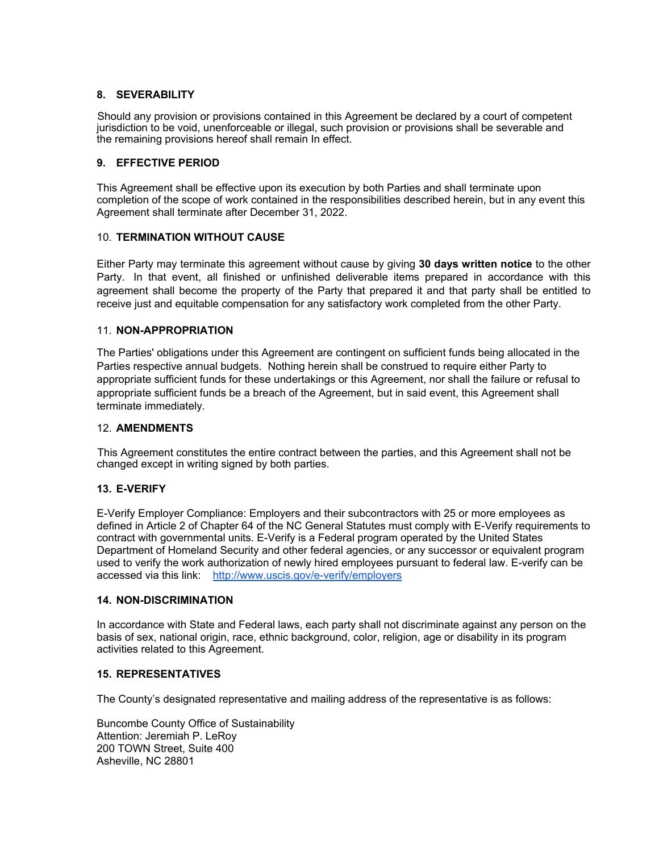### **8. SEVERABILITY**

Should any provision or provisions contained in this Agreement be declared by a court of competent jurisdiction to be void, unenforceable or illegal, such provision or provisions shall be severable and the remaining provisions hereof shall remain In effect.

### **9. EFFECTIVE PERIOD**

This Agreement shall be effective upon its execution by both Parties and shall terminate upon completion of the scope of work contained in the responsibilities described herein, but in any event this Agreement shall terminate after December 31, 2022.

## 10. **TERMINATION WITHOUT CAUSE**

Either Party may terminate this agreement without cause by giving **30 days written notice** to the other Party. In that event, all finished or unfinished deliverable items prepared in accordance with this agreement shall become the property of the Party that prepared it and that party shall be entitled to receive just and equitable compensation for any satisfactory work completed from the other Party.

### 11. **NON-APPROPRIATION**

The Parties' obligations under this Agreement are contingent on sufficient funds being allocated in the Parties respective annual budgets. Nothing herein shall be construed to require either Party to appropriate sufficient funds for these undertakings or this Agreement, nor shall the failure or refusal to appropriate sufficient funds be a breach of the Agreement, but in said event, this Agreement shall terminate immediately.

#### 12. **AMENDMENTS**

This Agreement constitutes the entire contract between the parties, and this Agreement shall not be changed except in writing signed by both parties.

### **13. E-VERIFY**

E-Verify Employer Compliance: Employers and their subcontractors with 25 or more employees as defined in Article 2 of Chapter 64 of the NC General Statutes must comply with E-Verify requirements to contract with governmental units. E-Verify is a Federal program operated by the United States Department of Homeland Security and other federal agencies, or any successor or equivalent program used to verify the work authorization of newly hired employees pursuant to federal law. E-verify can be accessed via this link: http://www.uscis.gov/e-verify/employers

#### **14. NON-DISCRIMINATION**

In accordance with State and Federal laws, each party shall not discriminate against any person on the basis of sex, national origin, race, ethnic background, color, religion, age or disability in its program activities related to this Agreement.

### **15. REPRESENTATIVES**

The County's designated representative and mailing address of the representative is as follows:

Buncombe County Office of Sustainability Attention: Jeremiah P. LeRoy 200 TOWN Street, Suite 400 Asheville, NC 28801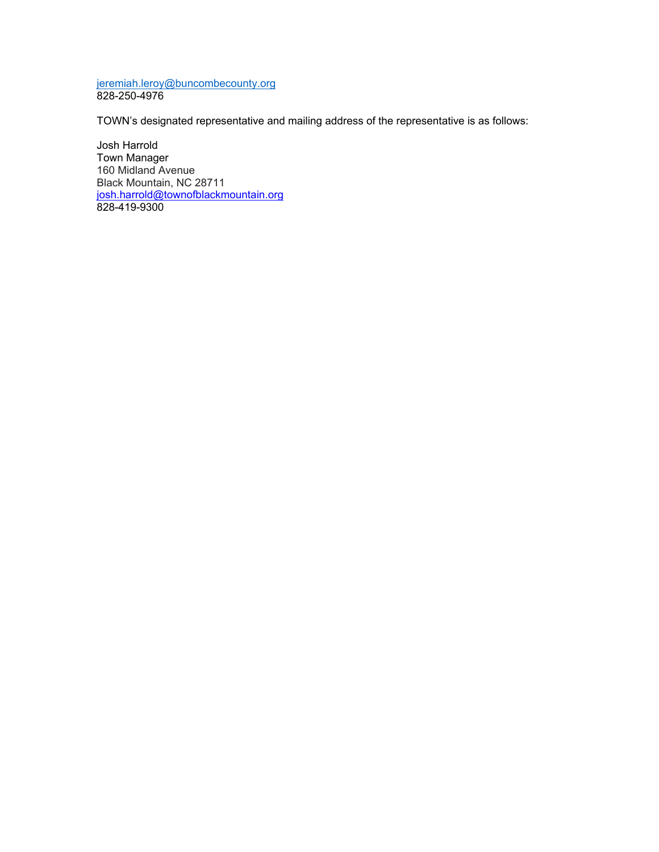jeremiah.leroy@buncombecounty.org 828-250-4976

TOWN's designated representative and mailing address of the representative is as follows:

Josh Harrold Town Manager 160 Midland Avenue Black Mountain, NC 28711 josh.harrold@townofblackmountain.org 828-419-9300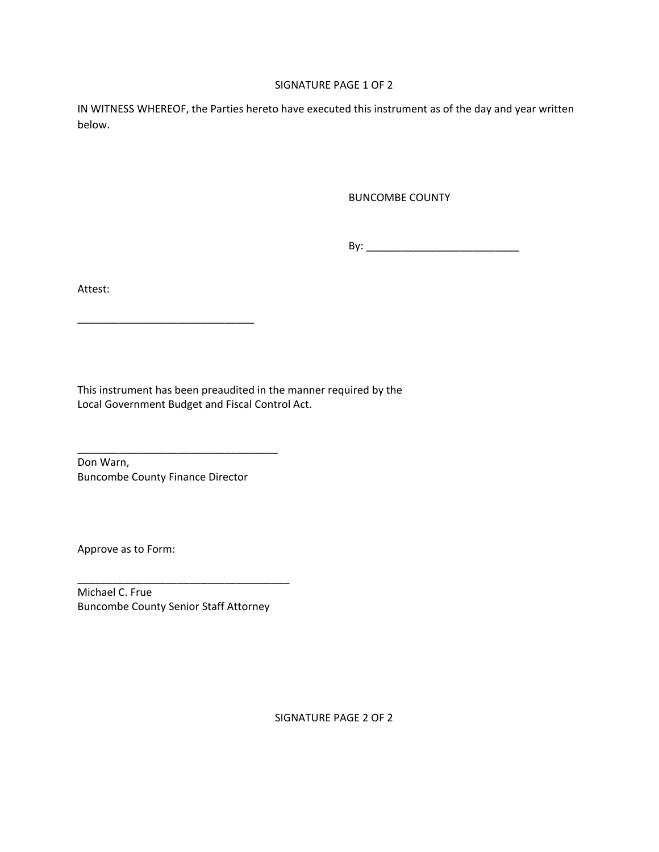### SIGNATURE PAGE 1 OF 2

IN WITNESS WHEREOF, the Parties hereto have executed this instrument as of the day and year written below.

BUNCOMBE COUNTY

By: \_\_\_\_\_\_\_\_\_\_\_\_\_\_\_\_\_\_\_\_\_\_\_\_\_\_

Attest:

This instrument has been preaudited in the manner required by the Local Government Budget and Fiscal Control Act.

Don Warn, Buncombe County Finance Director

\_\_\_\_\_\_\_\_\_\_\_\_\_\_\_\_\_\_\_\_\_\_\_\_\_\_\_\_\_\_\_\_\_\_

\_\_\_\_\_\_\_\_\_\_\_\_\_\_\_\_\_\_\_\_\_\_\_\_\_\_\_\_\_\_

Approve as to Form:

Michael C. Frue Buncombe County Senior Staff Attorney

\_\_\_\_\_\_\_\_\_\_\_\_\_\_\_\_\_\_\_\_\_\_\_\_\_\_\_\_\_\_\_\_\_\_\_\_

SIGNATURE PAGE 2 OF 2